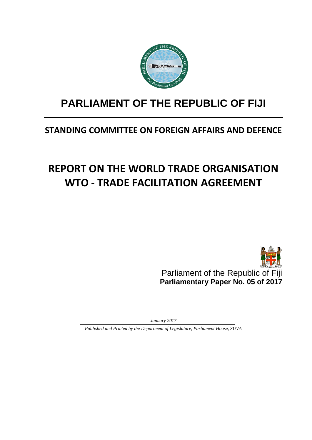

# **PARLIAMENT OF THE REPUBLIC OF FIJI**

## **STANDING COMMITTEE ON FOREIGN AFFAIRS AND DEFENCE**

# **REPORT ON THE WORLD TRADE ORGANISATION WTO - TRADE FACILITATION AGREEMENT**



Parliament of the Republic of Fiji **Parliamentary Paper No. 05 of 2017**

*January 2017*

*Published and Printed by the Department of Legislature, Parliament House, SUVA*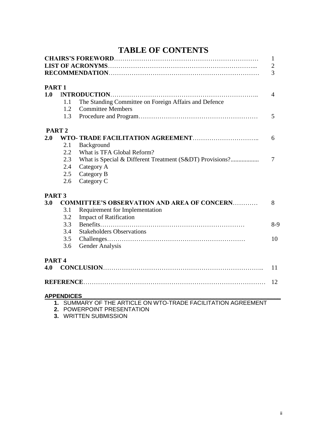|  | <b>TABLE OF CONTENTS</b> |
|--|--------------------------|
|--|--------------------------|

|                          |                   |                                                                                   | 1<br>$\mathbf{2}$<br>3 |
|--------------------------|-------------------|-----------------------------------------------------------------------------------|------------------------|
|                          |                   |                                                                                   |                        |
| PART <sub>1</sub><br>1.0 |                   | <b>INTRODUCTION</b>                                                               | $\overline{4}$         |
|                          | 1.1               |                                                                                   |                        |
|                          | 1.2               | The Standing Committee on Foreign Affairs and Defence<br><b>Committee Members</b> |                        |
|                          | 1.3               |                                                                                   | 5                      |
|                          |                   |                                                                                   |                        |
|                          | PART <sub>2</sub> |                                                                                   |                        |
| 2.0                      |                   |                                                                                   | 6                      |
|                          | 2.1               | Background                                                                        |                        |
|                          | 2.2               | What is TFA Global Reform?                                                        |                        |
|                          | 2.3               | What is Special & Different Treatment (S&DT) Provisions?                          | $\overline{7}$         |
|                          | 2.4               | Category A                                                                        |                        |
|                          | 2.5               | Category B                                                                        |                        |
|                          | 2.6               | Category C                                                                        |                        |
| PART <sub>3</sub>        |                   |                                                                                   |                        |
| 3.0                      |                   | <b>COMMITTEE'S OBSERVATION AND AREA OF CONCERN</b>                                | 8                      |
|                          | 3.1               | Requirement for Implementation                                                    |                        |
|                          | 3.2               | <b>Impact of Ratification</b>                                                     |                        |
|                          | 3.3               |                                                                                   | $8-9$                  |
|                          | 3.4               | <b>Stakeholders Observations</b>                                                  |                        |
|                          | 3.5               |                                                                                   | 10                     |
|                          | 3.6               | Gender Analysis                                                                   |                        |
| PART <sub>4</sub>        |                   |                                                                                   |                        |
| 4.0                      |                   |                                                                                   | 11                     |
|                          |                   |                                                                                   | 12                     |
|                          |                   |                                                                                   |                        |
|                          | <b>APPENDICES</b> | 1. SUMMARY OF THE ARTICLE ON WTO-TRADE FACILITATION AGREEMENT                     |                        |
|                          |                   |                                                                                   |                        |

- 
- **2.** POWERPOINT PRESENTATION
- **3.** WRITTEN SUBMISSION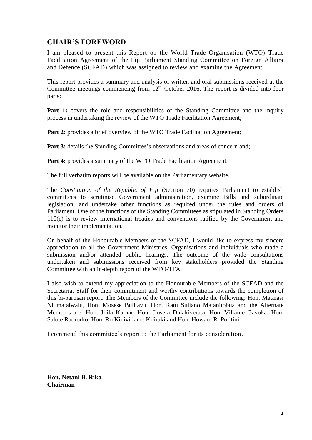## **CHAIR'S FOREWORD**

I am pleased to present this Report on the World Trade Organisation (WTO) Trade Facilitation Agreement of the Fiji Parliament Standing Committee on Foreign Affairs and Defence (SCFAD) which was assigned to review and examine the Agreement.

This report provides a summary and analysis of written and oral submissions received at the Committee meetings commencing from  $12<sup>th</sup>$  October 2016. The report is divided into four parts:

**Part 1:** covers the role and responsibilities of the Standing Committee and the inquiry process in undertaking the review of the WTO Trade Facilitation Agreement;

Part 2: provides a brief overview of the WTO Trade Facilitation Agreement;

**Part 3:** details the Standing Committee's observations and areas of concern and:

**Part 4:** provides a summary of the WTO Trade Facilitation Agreement.

The full verbatim reports will be available on the Parliamentary website.

The *Constitution of the Republic of Fiji* (Section 70) requires Parliament to establish committees to scrutinise Government administration, examine Bills and subordinate legislation, and undertake other functions as required under the rules and orders of Parliament. One of the functions of the Standing Committees as stipulated in Standing Orders 110(e) is to review international treaties and conventions ratified by the Government and monitor their implementation.

On behalf of the Honourable Members of the SCFAD, I would like to express my sincere appreciation to all the Government Ministries, Organisations and individuals who made a submission and/or attended public hearings. The outcome of the wide consultations undertaken and submissions received from key stakeholders provided the Standing Committee with an in-depth report of the WTO-TFA.

I also wish to extend my appreciation to the Honourable Members of the SCFAD and the Secretariat Staff for their commitment and worthy contributions towards the completion of this bi-partisan report. The Members of the Committee include the following: Hon. Mataiasi Niumataiwalu, Hon. Mosese Bulitavu, Hon. Ratu Suliano Matanitobua and the Alternate Members are: Hon. Jilila Kumar, Hon. Jiosefa Dulakiverata, Hon. Viliame Gavoka, Hon. Salote Radrodro, Hon. Ro Kiniviliame Kiliraki and Hon. Howard R. Politini.

I commend this committee's report to the Parliament for its consideration.

**Hon. Netani B. Rika Chairman**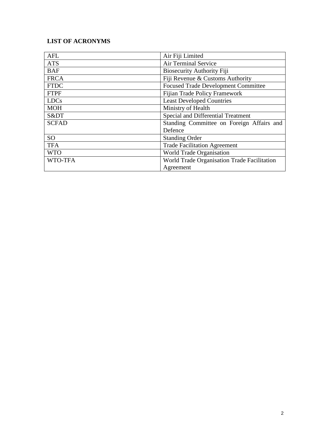## **LIST OF ACRONYMS**

| <b>AFL</b>   | Air Fiji Limited                            |
|--------------|---------------------------------------------|
| <b>ATS</b>   | Air Terminal Service                        |
| <b>BAF</b>   | <b>Biosecurity Authority Fiji</b>           |
| <b>FRCA</b>  | Fiji Revenue & Customs Authority            |
| <b>FTDC</b>  | <b>Focused Trade Development Committee</b>  |
| <b>FTPF</b>  | <b>Fijian Trade Policy Framework</b>        |
| <b>LDCs</b>  | <b>Least Developed Countries</b>            |
| <b>MOH</b>   | Ministry of Health                          |
| S&DT         | Special and Differential Treatment          |
| <b>SCFAD</b> | Standing Committee on Foreign Affairs and   |
|              | Defence                                     |
| <b>SO</b>    | <b>Standing Order</b>                       |
| <b>TFA</b>   | <b>Trade Facilitation Agreement</b>         |
| <b>WTO</b>   | World Trade Organisation                    |
| WTO-TFA      | World Trade Organisation Trade Facilitation |
|              | Agreement                                   |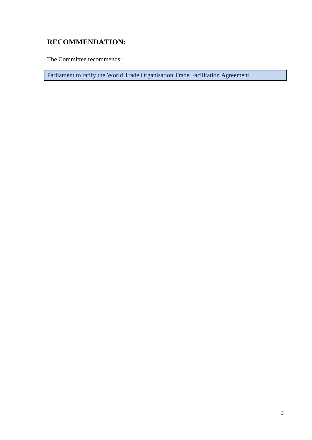## **RECOMMENDATION:**

The Committee recommends:

Parliament to ratify the World Trade Organisation Trade Facilitation Agreement.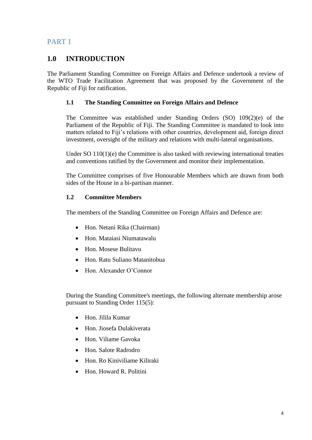## **1.0 INTRODUCTION**

The Parliament Standing Committee on Foreign Affairs and Defence undertook a review of the WTO Trade Facilitation Agreement that was proposed by the Government of the Republic of Fiji for ratification.

## **1.1 The Standing Committee on Foreign Affairs and Defence**

The Committee was established under Standing Orders (SO) 109(2)(e) of the Parliament of the Republic of Fiji. The Standing Committee is mandated to look into matters related to Fiji's relations with other countries, development aid, foreign direct investment, oversight of the military and relations with multi-lateral organisations.

Under SO 110(1)(e) the Committee is also tasked with reviewing international treaties and conventions ratified by the Government and monitor their implementation.

The Committee comprises of five Honourable Members which are drawn from both sides of the House in a bi-partisan manner.

## **1.2 Committee Members**

The members of the Standing Committee on Foreign Affairs and Defence are:

- Hon. Netani Rika (Chairman)
- Hon. Mataiasi Niumatawalu
- Hon. Mosese Bulitavu
- Hon. Ratu Suliano Matanitobua
- Hon. Alexander O'Connor

During the Standing Committee's meetings, the following alternate membership arose pursuant to Standing Order 115(5):

- Hon. Jilila Kumar
- Hon. Jiosefa Dulakiverata
- Hon. Viliame Gavoka
- Hon. Salote Radrodro
- Hon. Ro Kiniviliame Kiliraki
- Hon. Howard R. Politini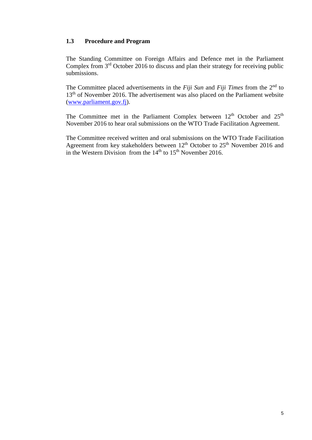#### **1.3 Procedure and Program**

The Standing Committee on Foreign Affairs and Defence met in the Parliament Complex from  $3<sup>rd</sup>$  October 2016 to discuss and plan their strategy for receiving public submissions.

The Committee placed advertisements in the *Fiji Sun* and *Fiji Times* from the 2<sup>nd</sup> to 13<sup>th</sup> of November 2016. The advertisement was also placed on the Parliament website [\(www.parliament.gov.fj\)](http://www.parliament.gov.fj/).

The Committee met in the Parliament Complex between  $12<sup>th</sup>$  October and  $25<sup>th</sup>$ November 2016 to hear oral submissions on the WTO Trade Facilitation Agreement.

The Committee received written and oral submissions on the WTO Trade Facilitation Agreement from key stakeholders between 12<sup>th</sup> October to 25<sup>th</sup> November 2016 and in the Western Division from the  $14<sup>th</sup>$  to  $15<sup>th</sup>$  November 2016.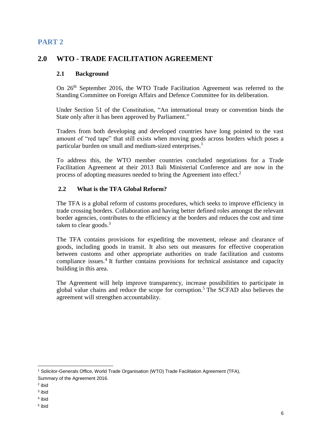## **2.0 WTO - TRADE FACILITATION AGREEMENT**

## **2.1 Background**

On 26<sup>th</sup> September 2016, the WTO Trade Facilitation Agreement was referred to the Standing Committee on Foreign Affairs and Defence Committee for its deliberation.

Under Section 51 of the Constitution, "An international treaty or convention binds the State only after it has been approved by Parliament."

Traders from both developing and developed countries have long pointed to the vast amount of "red tape" that still exists when moving goods across borders which poses a particular burden on small and medium-sized enterprises.<sup>1</sup>

To address this, the WTO member countries concluded negotiations for a Trade Facilitation Agreement at their 2013 Bali Ministerial Conference and are now in the process of adopting measures needed to bring the Agreement into effect.<sup>2</sup>

## **2.2 What is the TFA Global Reform?**

The TFA is a global reform of customs procedures, which seeks to improve efficiency in trade crossing borders. Collaboration and having better defined roles amongst the relevant border agencies, contributes to the efficiency at the borders and reduces the cost and time taken to clear goods. $3$ 

The TFA contains provisions for expediting the movement, release and clearance of goods, including goods in transit. It also sets out measures for effective cooperation between customs and other appropriate authorities on trade facilitation and customs compliance issues.<sup>4</sup> It further contains provisions for technical assistance and capacity building in this area.

The Agreement will help improve transparency, increase possibilities to participate in global value chains and reduce the scope for corruption.<sup>5</sup> The SCFAD also believes the agreement will strengthen accountability.

<sup>1</sup> Solicitor-Generals Office, World Trade Organisation (WTO) Trade Facilitation Agreement (TFA), Summary of the Agreement 2016.

-

<sup>2</sup> ibid

<sup>3</sup> ibid

<sup>4</sup> ibid

<sup>5</sup> ibid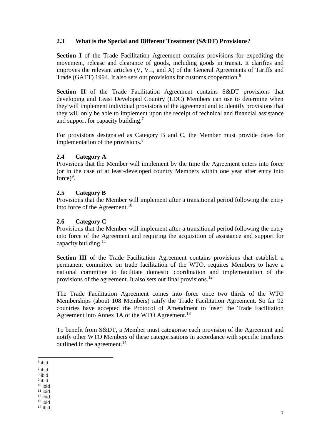## **2.3 What is the Special and Different Treatment (S&DT) Provisions?**

**Section I** of the Trade Facilitation Agreement contains provisions for expediting the movement, release and clearance of goods, including goods in transit. It clarifies and improves the relevant articles (V, VII, and X) of the General Agreements of Tariffs and Trade (GATT) 1994. It also sets out provisions for customs cooperation.<sup>6</sup>

**Section II** of the Trade Facilitation Agreement contains S&DT provisions that developing and Least Developed Country (LDC) Members can use to determine when they will implement individual provisions of the agreement and to identify provisions that they will only be able to implement upon the receipt of technical and financial assistance and support for capacity building.<sup>7</sup>

For provisions designated as Category B and C, the Member must provide dates for implementation of the provisions. $8$ 

#### **2.4 Category A**

Provisions that the Member will implement by the time the Agreement enters into force (or in the case of at least-developed country Members within one year after entry into force $)^9$ .

#### **2.5 Category B**

Provisions that the Member will implement after a transitional period following the entry into force of the Agreement.<sup>10</sup>

#### **2.6 Category C**

Provisions that the Member will implement after a transitional period following the entry into force of the Agreement and requiring the acquisition of assistance and support for capacity building.<sup>11</sup>

**Section III** of the Trade Facilitation Agreement contains provisions that establish a permanent committee on trade facilitation of the WTO, requires Members to have a national committee to facilitate domestic coordination and implementation of the provisions of the agreement. It also sets out final provisions.<sup>12</sup>

The Trade Facilitation Agreement comes into force once two thirds of the WTO Memberships (about 108 Members) ratify the Trade Facilitation Agreement. So far 92 countries have accepted the Protocol of Amendment to insert the Trade Facilitation Agreement into Annex 1A of the WTO Agreement.<sup>13</sup>

To benefit from S&DT, a Member must categorise each provision of the Agreement and notify other WTO Members of these categorisations in accordance with specific timelines outlined in the agreement.<sup>14</sup>

<sup>-</sup>6 ibid

<sup>7</sup> ibid

<sup>8</sup> ibid

<sup>&</sup>lt;sup>9</sup> ibid <sup>10</sup> ibid

<sup>11</sup> ibid

<sup>12</sup> ibid

 $13$  ibid

<sup>14</sup> Ibid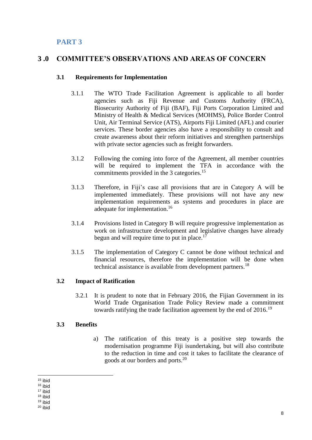## **3 .0 COMMITTEE'S OBSERVATIONS AND AREAS OF CONCERN**

#### **3.1 Requirements for Implementation**

- 3.1.1 The WTO Trade Facilitation Agreement is applicable to all border agencies such as Fiji Revenue and Customs Authority (FRCA), Biosecurity Authority of Fiji (BAF), Fiji Ports Corporation Limited and Ministry of Health & Medical Services (MOHMS), Police Border Control Unit, Air Terminal Service (ATS), Airports Fiji Limited (AFL) and courier services. These border agencies also have a responsibility to consult and create awareness about their reform initiatives and strengthen partnerships with private sector agencies such as freight forwarders.
- 3.1.2 Following the coming into force of the Agreement, all member countries will be required to implement the TFA in accordance with the commitments provided in the 3 categories.<sup>15</sup>
- 3.1.3 Therefore, in Fiji's case all provisions that are in Category A will be implemented immediately. These provisions will not have any new implementation requirements as systems and procedures in place are adequate for implementation.<sup>16</sup>
- 3.1.4 Provisions listed in Category B will require progressive implementation as work on infrastructure development and legislative changes have already begun and will require time to put in place.<sup>17</sup>
- 3.1.5 The implementation of Category C cannot be done without technical and financial resources, therefore the implementation will be done when technical assistance is available from development partners.<sup>18</sup>

## **3.2 Impact of Ratification**

3.2.1 It is prudent to note that in February 2016, the Fijian Government in its World Trade Organisation Trade Policy Review made a commitment towards ratifying the trade facilitation agreement by the end of 2016.<sup>19</sup>

## **3.3 Benefits**

a) The ratification of this treaty is a positive step towards the modernisation programme Fiji isundertaking, but will also contribute to the reduction in time and cost it takes to facilitate the clearance of goods at our borders and ports. 20

8

<sup>-</sup><sup>15</sup> ibid

<sup>16</sup> ibid

<sup>17</sup> ibid

<sup>18</sup> ibid

<sup>19</sup> ibid  $20$  ibid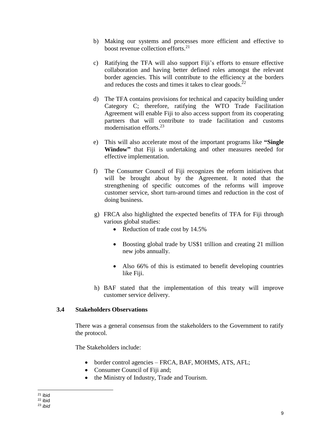- b) Making our systems and processes more efficient and effective to boost revenue collection efforts. 21
- c) Ratifying the TFA will also support Fiji's efforts to ensure effective collaboration and having better defined roles amongst the relevant border agencies. This will contribute to the efficiency at the borders and reduces the costs and times it takes to clear goods.<sup>22</sup>
- d) The TFA contains provisions for technical and capacity building under Category C; therefore, ratifying the WTO Trade Facilitation Agreement will enable Fiji to also access support from its cooperating partners that will contribute to trade facilitation and customs modernisation efforts. 23
- e) This will also accelerate most of the important programs like **"Single Window"** that Fiji is undertaking and other measures needed for effective implementation.
- f) The Consumer Council of Fiji recognizes the reform initiatives that will be brought about by the Agreement. It noted that the strengthening of specific outcomes of the reforms will improve customer service, short turn-around times and reduction in the cost of doing business.
- g) FRCA also highlighted the expected benefits of TFA for Fiji through various global studies:
	- Reduction of trade cost by 14.5%
	- Boosting global trade by US\$1 trillion and creating 21 million new jobs annually.
	- Also 66% of this is estimated to benefit developing countries like Fiji.
- h) BAF stated that the implementation of this treaty will improve customer service delivery.

## **3.4 Stakeholders Observations**

There was a general consensus from the stakeholders to the Government to ratify the protocol.

The Stakeholders include:

- border control agencies FRCA, BAF, MOHMS, ATS, AFL;
- Consumer Council of Fiji and:
- the Ministry of Industry, Trade and Tourism.

<sup>-</sup><sup>21</sup> ibid

<sup>22</sup> ibid

<sup>23</sup> *ibid*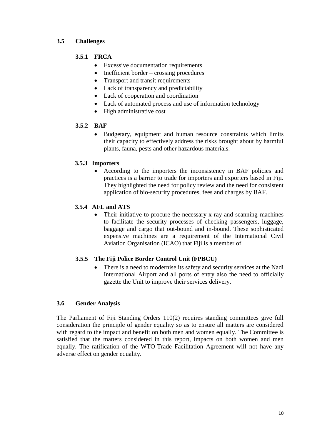## **3.5 Challenges**

## **3.5.1 FRCA**

- Excessive documentation requirements
- Inefficient border crossing procedures
- Transport and transit requirements
- Lack of transparency and predictability
- Lack of cooperation and coordination
- Lack of automated process and use of information technology
- High administrative cost

## **3.5.2 BAF**

 Budgetary, equipment and human resource constraints which limits their capacity to effectively address the risks brought about by harmful plants, fauna, pests and other hazardous materials.

## **3.5.3 Importers**

 According to the importers the inconsistency in BAF policies and practices is a barrier to trade for importers and exporters based in Fiji. They highlighted the need for policy review and the need for consistent application of bio-security procedures, fees and charges by BAF.

## **3.5.4 AFL and ATS**

 Their initiative to procure the necessary x-ray and scanning machines to facilitate the security processes of checking passengers, luggage, baggage and cargo that out-bound and in-bound. These sophisticated expensive machines are a requirement of the International Civil Aviation Organisation (ICAO) that Fiji is a member of.

## **3.5.5 The Fiji Police Border Control Unit (FPBCU)**

• There is a need to modernise its safety and security services at the Nadi International Airport and all ports of entry also the need to officially gazette the Unit to improve their services delivery.

## **3.6 Gender Analysis**

The Parliament of Fiji Standing Orders 110(2) requires standing committees give full consideration the principle of gender equality so as to ensure all matters are considered with regard to the impact and benefit on both men and women equally. The Committee is satisfied that the matters considered in this report, impacts on both women and men equally. The ratification of the WTO-Trade Facilitation Agreement will not have any adverse effect on gender equality.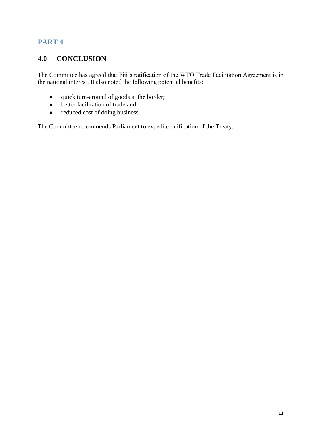## **4.0 CONCLUSION**

The Committee has agreed that Fiji's ratification of the WTO Trade Facilitation Agreement is in the national interest. It also noted the following potential benefits:

- quick turn-around of goods at the border;
- better facilitation of trade and;
- reduced cost of doing business.

The Committee recommends Parliament to expedite ratification of the Treaty.